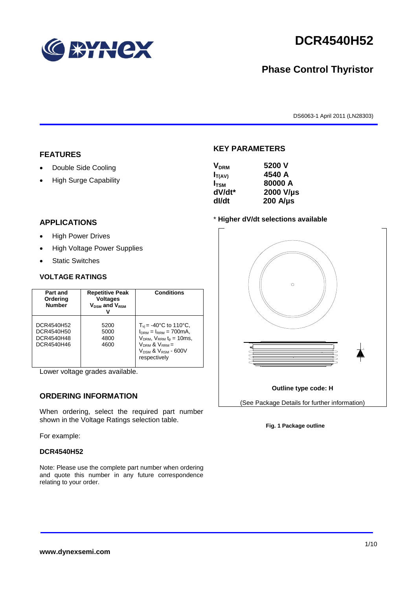

# **DCR4540H52**

# **Phase Control Thyristor**

DS6063-1 April 2011 (LN28303)

#### **FEATURES**

- Double Side Cooling
- High Surge Capability

#### $V = 5200V$

**KEY PARAMETERS**

| Y DRM            | JLUU V           |
|------------------|------------------|
| $I_{T(AV)}$      | 4540 A           |
| I <sub>tsm</sub> | 80000 A          |
| dV/dt*           | 2000 V/µs        |
| dl/dt            | $200$ A/ $\mu$ s |
|                  |                  |

#### **APPLICATIONS**

- High Power Drives
- High Voltage Power Supplies
- Static Switches

#### **VOLTAGE RATINGS**

| Part and<br>Ordering<br><b>Number</b>                | <b>Repetitive Peak</b><br><b>Voltages</b><br>$V_{DSM}$ and $V_{RSM}$ | <b>Conditions</b>                                                                                                                                                                                            |
|------------------------------------------------------|----------------------------------------------------------------------|--------------------------------------------------------------------------------------------------------------------------------------------------------------------------------------------------------------|
| DCR4540H52<br>DCR4540H50<br>DCR4540H48<br>DCR4540H46 | 5200<br>5000<br>4800<br>4600                                         | $T_{vi}$ = -40°C to 110°C,<br>$I_{DRM} = I_{RRM} = 700 \text{mA}$<br>$V_{DRM}$ , $V_{RRM}$ $t_{p}$ = 10ms,<br>$V_{DRM}$ & $V_{RRM}$ =<br><b>V<sub>DSM</sub> &amp; V<sub>RSM</sub> - 600V</b><br>respectively |

Lower voltage grades available.

#### **ORDERING INFORMATION**

When ordering, select the required part number shown in the Voltage Ratings selection table.

For example:

#### **DCR4540H52**

Note: Please use the complete part number when ordering and quote this number in any future correspondence relating to your order.

#### \* **Higher dV/dt selections available**



#### **Fig. 1 Package outline**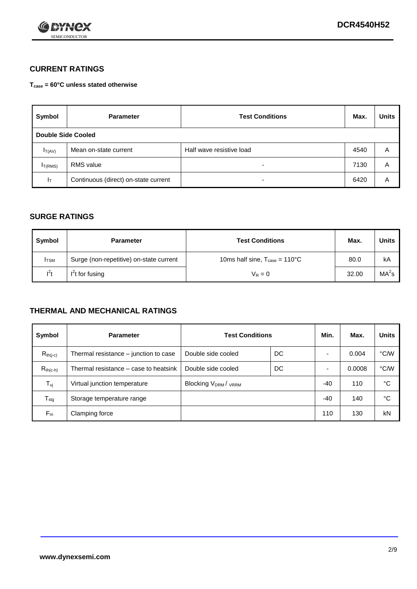

### **CURRENT RATINGS**

**Tcase = 60°C unless stated otherwise**

| Symbol             | <b>Parameter</b>                     | <b>Test Conditions</b>   | Max. | <b>Units</b> |
|--------------------|--------------------------------------|--------------------------|------|--------------|
| Double Side Cooled |                                      |                          |      |              |
| $I_{T(AV)}$        | Mean on-state current                | Half wave resistive load | 4540 | A            |
| $I_{T(RMS)}$       | RMS value                            | $\overline{\phantom{a}}$ | 7130 | A            |
| Iт                 | Continuous (direct) on-state current | $\overline{\phantom{a}}$ | 6420 | Α            |

#### **SURGE RATINGS**

| Symbol       | <b>Parameter</b>                        | <b>Test Conditions</b>                            | Max.  | Units             |
|--------------|-----------------------------------------|---------------------------------------------------|-------|-------------------|
| <b>I</b> TSM | Surge (non-repetitive) on-state current | 10ms half sine, $T_{\text{case}} = 110^{\circ}$ C | 80.0  | kA                |
| $l^2t$       | $I2t$ for fusing                        | $V_R = 0$                                         | 32.00 | MA <sup>2</sup> s |

### **THERMAL AND MECHANICAL RATINGS**

| Symbol           | <b>Parameter</b>                      | <b>Test Conditions</b>    |    | Min.  | Max.   | <b>Units</b> |
|------------------|---------------------------------------|---------------------------|----|-------|--------|--------------|
| $R_{th(i-c)}$    | Thermal resistance – junction to case | Double side cooled        | DC |       | 0.004  | °C/W         |
| $R_{th(c-h)}$    | Thermal resistance – case to heatsink | Double side cooled        | DC |       | 0.0008 | °C/W         |
| $T_{\nu j}$      | Virtual junction temperature          | <b>Blocking VDRM/VRRM</b> |    | $-40$ | 110    | °C           |
| $T_{\text{stg}}$ | Storage temperature range             |                           |    | $-40$ | 140    | °C           |
| $F_m$            | Clamping force                        |                           |    | 110   | 130    | kN           |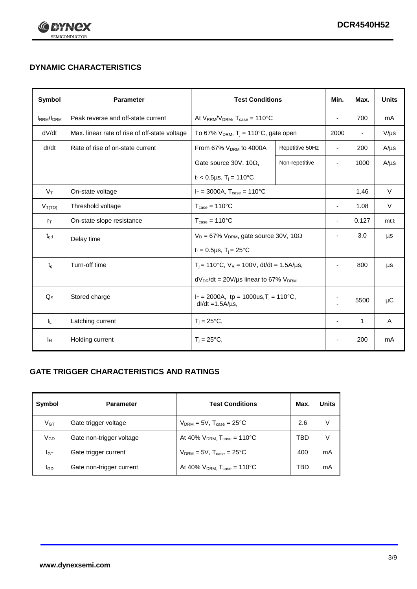

## **DYNAMIC CHARACTERISTICS**

| Symbol            | <b>Parameter</b>                              | <b>Test Conditions</b>                                                 |                 | Min.                     | Max.                     | <b>Units</b> |
|-------------------|-----------------------------------------------|------------------------------------------------------------------------|-----------------|--------------------------|--------------------------|--------------|
| <b>IRRM</b> /IDRM | Peak reverse and off-state current            | At $V_{RRM}/V_{DRM}$ , $T_{case} = 110^{\circ}C$                       |                 | $\blacksquare$           | 700                      | mA           |
| dV/dt             | Max. linear rate of rise of off-state voltage | To 67% $V_{DRM}$ , T <sub>i</sub> = 110°C, gate open                   |                 | 2000                     | $\overline{\phantom{a}}$ | $V/\mu s$    |
| dl/dt             | Rate of rise of on-state current              | From 67% V <sub>DRM</sub> to 4000A                                     | Repetitive 50Hz | $\overline{\phantom{a}}$ | 200                      | $A/\mu s$    |
|                   |                                               | Gate source 30V, 10 $\Omega$ ,                                         | Non-repetitive  | $\overline{\phantom{a}}$ | 1000                     | $A/\mu s$    |
|                   |                                               | $t_r$ < 0.5µs, T <sub>i</sub> = 110°C                                  |                 |                          |                          |              |
| $V_T$             | On-state voltage                              | $I_T = 3000A$ , $T_{case} = 110^{\circ}C$                              |                 |                          | 1.46                     | $\vee$       |
| $V_{T(TO)}$       | Threshold voltage                             | $T_{\text{case}} = 110^{\circ}C$                                       |                 | $\blacksquare$           | 1.08                     | $\vee$       |
| $r_{\text{T}}$    | On-state slope resistance                     | $T_{\text{case}} = 110^{\circ}C$                                       |                 | $\overline{\phantom{a}}$ | 0.127                    | $m\Omega$    |
| $t_{\rm gd}$      | Delay time                                    | $V_D = 67\%$ V <sub>DRM</sub> , gate source 30V, 10 $\Omega$           |                 | ÷,                       | 3.0                      | μs           |
|                   |                                               | $t_r = 0.5 \mu s$ , $T_i = 25^{\circ}C$                                |                 |                          |                          |              |
| $t_{q}$           | Turn-off time                                 | $T_i$ = 110°C, $V_R$ = 100V, dl/dt = 1.5A/us,                          |                 | $\blacksquare$           | 800                      | μs           |
|                   |                                               | $dV_{DR}/dt = 20V/\mu s$ linear to 67% $V_{DRM}$                       |                 |                          |                          |              |
| $Q_{\rm S}$       | Stored charge                                 | $I_T = 2000$ A, tp = 1000us, $T_i = 110$ °C,<br>$dl/dt = 1.5A/\mu s$ , |                 |                          | 5500                     | $\mu$ C      |
| IL.               | Latching current                              | $T_i = 25^{\circ}C$ ,                                                  |                 | $\overline{\phantom{a}}$ | $\mathbf{1}$             | Α            |
| ΙH                | Holding current                               | $T_i = 25^{\circ}C,$                                                   |                 |                          | 200                      | mA           |

### **GATE TRIGGER CHARACTERISTICS AND RATINGS**

| Symbol          | <b>Parameter</b>         | <b>Test Conditions</b>                       | Max. | Units |
|-----------------|--------------------------|----------------------------------------------|------|-------|
| V <sub>GT</sub> | Gate trigger voltage     | $V_{DRM}$ = 5V, $T_{case}$ = 25°C            | 2.6  | V     |
| $V_{GD}$        | Gate non-trigger voltage | At 40% $V_{DRM}$ , $T_{case} = 110^{\circ}C$ | TBD  | V     |
| Iст             | Gate trigger current     | $V_{DRM}$ = 5V, $T_{case}$ = 25°C            | 400  | mA    |
| <b>I</b> GD     | Gate non-trigger current | At 40% $V_{DRM}$ , $T_{case} = 110^{\circ}C$ | TBD  | mA    |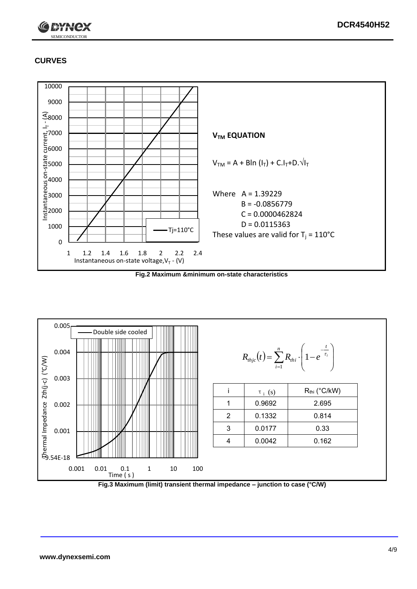

### **CURVES**



**Fig.2 Maximum &minimum on-state characteristics**



**Fig.3 Maximum (limit) transient thermal impedance – junction to case (°C/W)**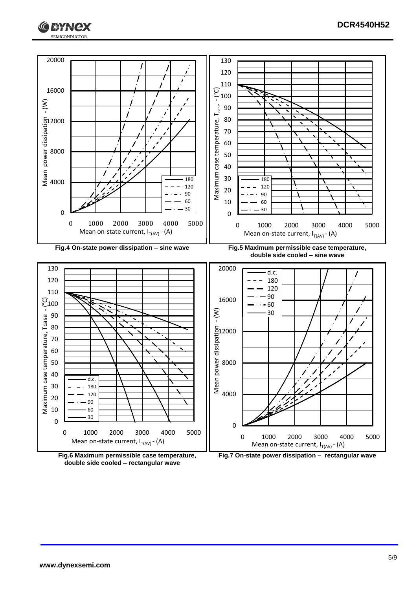





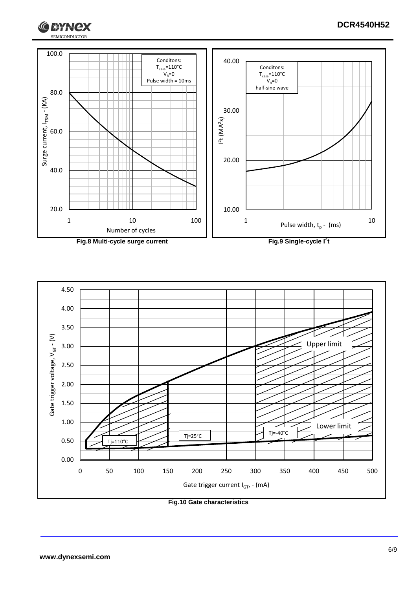





**Fig.10 Gate characteristics**

G

**I RYNCX**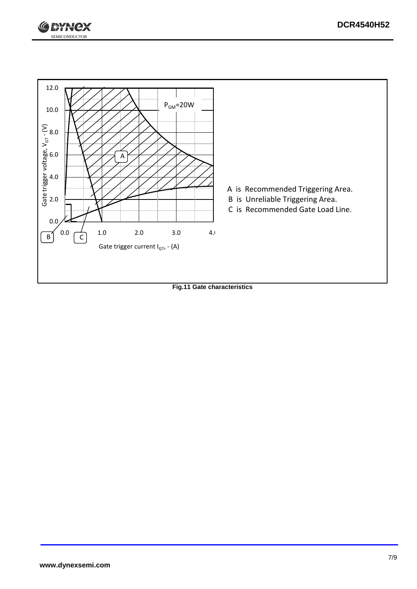



**Fig.11 Gate characteristics**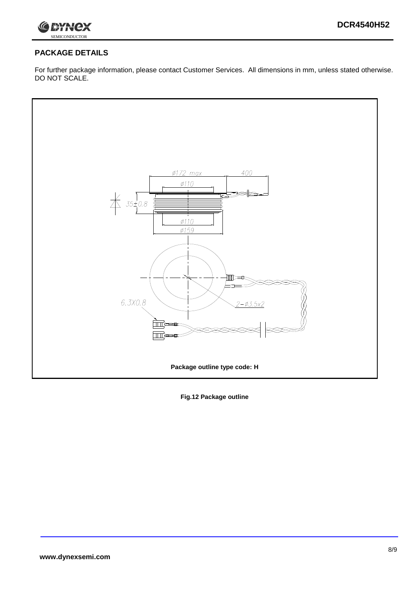

### **PACKAGE DETAILS**

For further package information, please contact Customer Services. All dimensions in mm, unless stated otherwise. DO NOT SCALE.



**Fig.12 Package outline**